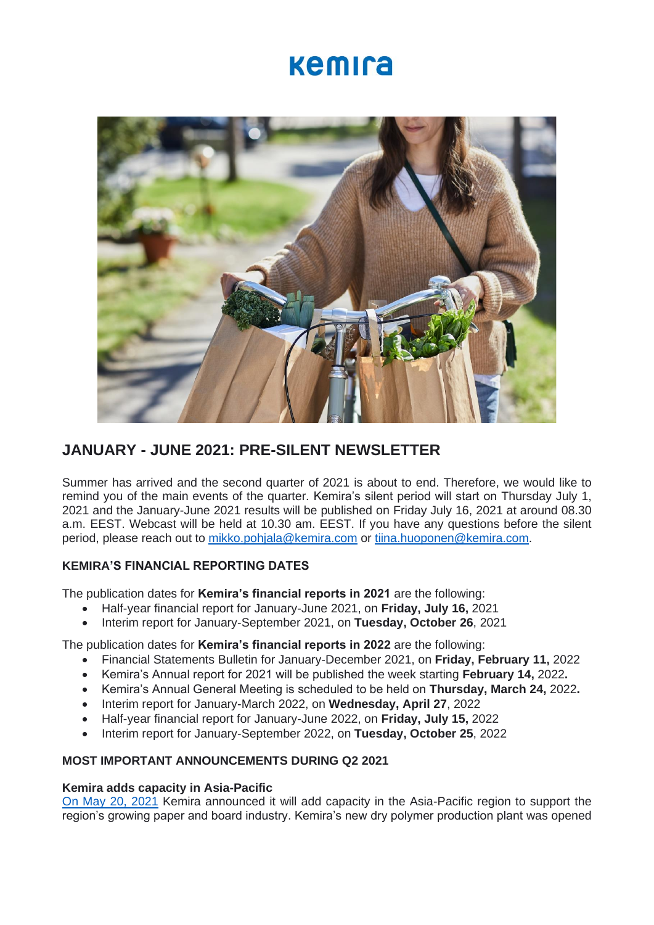## kemira



### **JANUARY - JUNE 2021: PRE-SILENT NEWSLETTER**

Summer has arrived and the second quarter of 2021 is about to end. Therefore, we would like to remind you of the main events of the quarter. Kemira's silent period will start on Thursday July 1, 2021 and the January-June 2021 results will be published on Friday July 16, 2021 at around 08.30 a.m. EEST. Webcast will be held at 10.30 am. EEST. If you have any questions before the silent period, please reach out to [mikko.pohjala@kemira.com](mailto:mikko.pohjala@kemira.com) or [tiina.huoponen@kemira.com.](mailto:tiina.huoponen@kemira.com)

### **KEMIRA'S FINANCIAL REPORTING DATES**

The publication dates for **Kemira's financial reports in 2021** are the following:

- Half-year financial report for January-June 2021, on **Friday, July 16,** 2021
- Interim report for January-September 2021, on **Tuesday, October 26**, 2021

The publication dates for **Kemira's financial reports in 2022** are the following:

- Financial Statements Bulletin for January-December 2021, on **Friday, February 11,** 2022
- Kemira's Annual report for 2021 will be published the week starting **February 14,** 2022**.**
- Kemira's Annual General Meeting is scheduled to be held on **Thursday, March 24,** 2022**.**
- Interim report for January-March 2022, on **Wednesday, April 27**, 2022
- Half-year financial report for January-June 2022, on **Friday, July 15,** 2022
- Interim report for January-September 2022, on **Tuesday, October 25**, 2022

#### **MOST IMPORTANT ANNOUNCEMENTS DURING Q2 2021**

#### **Kemira adds capacity in Asia-Pacific**

[On May 20, 2021](https://www.kemira.com/company/media/newsroom/releases/kemira-adds-capacity-in-asia-pacific-to-support-the-growing-paper-and-board-industry/) Kemira announced it will add capacity in the Asia-Pacific region to support the region's growing paper and board industry. Kemira's new dry polymer production plant was opened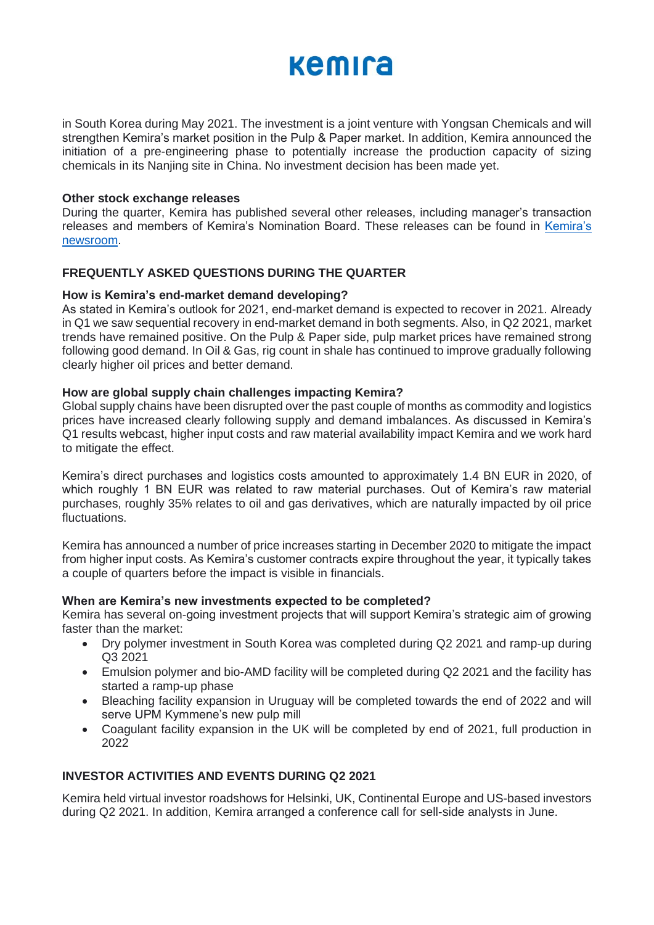# **Kemira**

in South Korea during May 2021. The investment is a joint venture with Yongsan Chemicals and will strengthen Kemira's market position in the Pulp & Paper market. In addition, Kemira announced the initiation of a pre-engineering phase to potentially increase the production capacity of sizing chemicals in its Nanjing site in China. No investment decision has been made yet.

#### **Other stock exchange releases**

During the quarter, Kemira has published several other releases, including manager's transaction releases and members of Kemira's Nomination Board. These releases can be found in [Kemira's](https://www.kemira.com/company/media/newsroom/releases/kemira-oyj-announces-indicative-tender-offer-results-2/)  [newsroom.](https://www.kemira.com/company/media/newsroom/releases/kemira-oyj-announces-indicative-tender-offer-results-2/)

#### **FREQUENTLY ASKED QUESTIONS DURING THE QUARTER**

#### **How is Kemira's end-market demand developing?**

As stated in Kemira's outlook for 2021, end-market demand is expected to recover in 2021. Already in Q1 we saw sequential recovery in end-market demand in both segments. Also, in Q2 2021, market trends have remained positive. On the Pulp & Paper side, pulp market prices have remained strong following good demand. In Oil & Gas, rig count in shale has continued to improve gradually following clearly higher oil prices and better demand.

#### **How are global supply chain challenges impacting Kemira?**

Global supply chains have been disrupted over the past couple of months as commodity and logistics prices have increased clearly following supply and demand imbalances. As discussed in Kemira's Q1 results webcast, higher input costs and raw material availability impact Kemira and we work hard to mitigate the effect.

Kemira's direct purchases and logistics costs amounted to approximately 1.4 BN EUR in 2020, of which roughly 1 BN EUR was related to raw material purchases. Out of Kemira's raw material purchases, roughly 35% relates to oil and gas derivatives, which are naturally impacted by oil price fluctuations.

Kemira has announced a number of price increases starting in December 2020 to mitigate the impact from higher input costs. As Kemira's customer contracts expire throughout the year, it typically takes a couple of quarters before the impact is visible in financials.

#### **When are Kemira's new investments expected to be completed?**

Kemira has several on-going investment projects that will support Kemira's strategic aim of growing faster than the market:

- Dry polymer investment in South Korea was completed during Q2 2021 and ramp-up during Q3 2021
- Emulsion polymer and bio-AMD facility will be completed during Q2 2021 and the facility has started a ramp-up phase
- Bleaching facility expansion in Uruguay will be completed towards the end of 2022 and will serve UPM Kymmene's new pulp mill
- Coagulant facility expansion in the UK will be completed by end of 2021, full production in 2022

### **INVESTOR ACTIVITIES AND EVENTS DURING Q2 2021**

Kemira held virtual investor roadshows for Helsinki, UK, Continental Europe and US-based investors during Q2 2021. In addition, Kemira arranged a conference call for sell-side analysts in June.